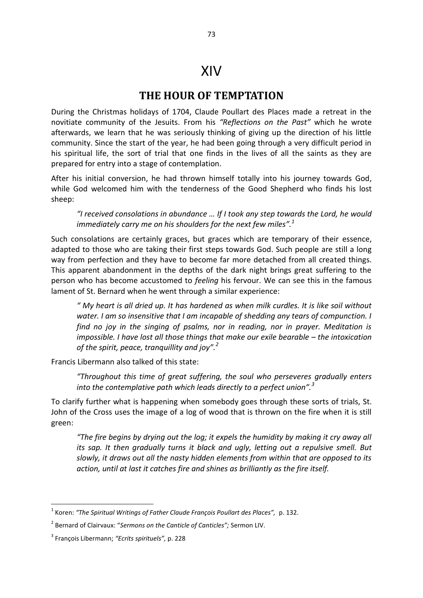## XIV

## **THE HOUR OF TEMPTATION**

During the Christmas holidays of 1704, Claude Poullart des Places made a retreat in the novitiate community of the Jesuits. From his *"Reflections on the Past"* which he wrote afterwards, we learn that he was seriously thinking of giving up the direction of his little community. Since the start of the year, he had been going through a very difficult period in his spiritual life, the sort of trial that one finds in the lives of all the saints as they are prepared for entry into a stage of contemplation.

After his initial conversion, he had thrown himself totally into his journey towards God, while God welcomed him with the tenderness of the Good Shepherd who finds his lost sheep:

*"I received consolations in abundance … If I took any step towards the Lord, he would immediately carry me on his shoulders for the next few miles".<sup>1</sup>*

Such consolations are certainly graces, but graces which are temporary of their essence, adapted to those who are taking their first steps towards God. Such people are still a long way from perfection and they have to become far more detached from all created things. This apparent abandonment in the depths of the dark night brings great suffering to the person who has become accustomed to *feeling* his fervour. We can see this in the famous lament of St. Bernard when he went through a similar experience:

*" My heart is all dried up. It has hardened as when milk curdles. It is like soil without water. I am so insensitive that I am incapable of shedding any tears of compunction. I find no joy in the singing of psalms, nor in reading, nor in prayer. Meditation is impossible. I have lost all those things that make our exile bearable – the intoxication of the spirit, peace, tranquillity and joy".<sup>2</sup>* 

Francis Libermann also talked of this state:

*"Throughout this time of great suffering, the soul who perseveres gradually enters into the contemplative path which leads directly to a perfect union".<sup>3</sup>* 

To clarify further what is happening when somebody goes through these sorts of trials, St. John of the Cross uses the image of a log of wood that is thrown on the fire when it is still green:

*"The fire begins by drying out the log; it expels the humidity by making it cry away all its sap. It then gradually turns it black and ugly, letting out a repulsive smell. But slowly, it draws out all the nasty hidden elements from within that are opposed to its action, until at last it catches fire and shines as brilliantly as the fire itself.* 

 1 Koren: *"The Spiritual Writings of Father Claude François Poullart des Places",* p. 132.

<sup>2</sup> Bernard of Clairvaux: "*Sermons on the Canticle of Canticles";* Sermon LIV.

<sup>3</sup> François Libermann; *"Ecrits spirituels",* p. 228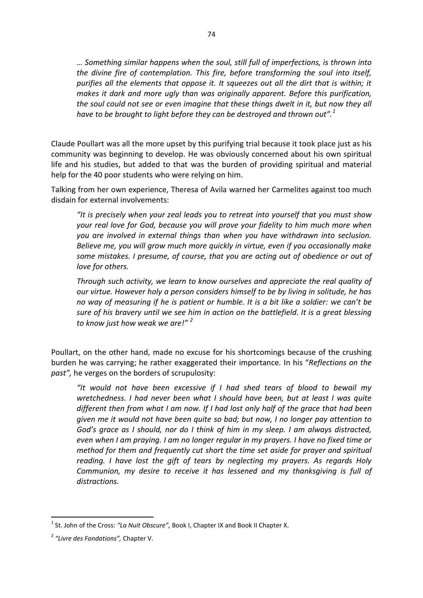*… Something similar happens when the soul, still full of imperfections, is thrown into the divine fire of contemplation. This fire, before transforming the soul into itself, purifies all the elements that oppose it. It squeezes out all the dirt that is within; it makes it dark and more ugly than was originally apparent. Before this purification, the soul could not see or even imagine that these things dwelt in it, but now they all have to be brought to light before they can be destroyed and thrown out".<sup>1</sup>* 

Claude Poullart was all the more upset by this purifying trial because it took place just as his community was beginning to develop. He was obviously concerned about his own spiritual life and his studies, but added to that was the burden of providing spiritual and material help for the 40 poor students who were relying on him.

Talking from her own experience, Theresa of Avila warned her Carmelites against too much disdain for external involvements:

*"It is precisely when your zeal leads you to retreat into yourself that you must show your real love for God, because you will prove your fidelity to him much more when you are involved in external things than when you have withdrawn into seclusion. Believe me, you will grow much more quickly in virtue, even if you occasionally make some mistakes. I presume, of course, that you are acting out of obedience or out of love for others.* 

*Through such activity, we learn to know ourselves and appreciate the real quality of our virtue. However holy a person considers himself to be by living in solitude, he has no way of measuring if he is patient or humble. It is a bit like a soldier: we can't be sure of his bravery until we see him in action on the battlefield. It is a great blessing to know just how weak we are!" <sup>2</sup>* 

Poullart, on the other hand, made no excuse for his shortcomings because of the crushing burden he was carrying; he rather exaggerated their importance*.* In his "*Reflections on the past",* he verges on the borders of scrupulosity:

*"It would not have been excessive if I had shed tears of blood to bewail my wretchedness. I had never been what I should have been, but at least I was quite different then from what I am now. If I had lost only half of the grace that had been given me it would not have been quite so bad; but now, I no longer pay attention to God's grace as I should, nor do I think of him in my sleep. I am always distracted, even when I am praying. I am no longer regular in my prayers. I have no fixed time or method for them and frequently cut short the time set aside for prayer and spiritual reading. I have lost the gift of tears by neglecting my prayers. As regards Holy Communion, my desire to receive it has lessened and my thanksgiving is full of distractions.* 

**.** 

<sup>&</sup>lt;sup>1</sup> St. John of the Cross: "La Nuit Obscure", Book I, Chapter IX and Book II Chapter X.

<sup>2</sup> *"Livre des Fondations",* Chapter V.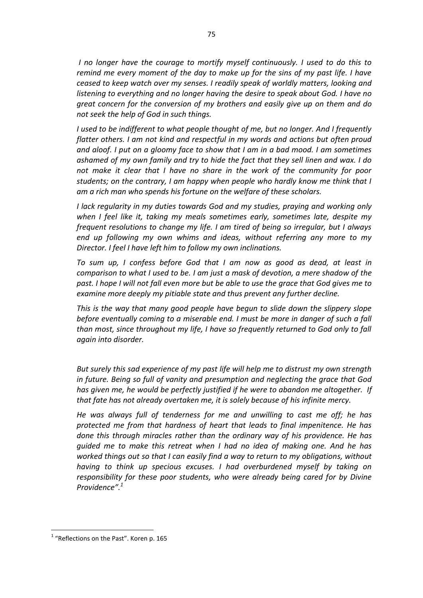*I no longer have the courage to mortify myself continuously. I used to do this to remind me every moment of the day to make up for the sins of my past life. I have ceased to keep watch over my senses. I readily speak of worldly matters, looking and listening to everything and no longer having the desire to speak about God. I have no great concern for the conversion of my brothers and easily give up on them and do not seek the help of God in such things.* 

*I used to be indifferent to what people thought of me, but no longer. And I frequently flatter others. I am not kind and respectful in my words and actions but often proud and aloof. I put on a gloomy face to show that I am in a bad mood. I am sometimes ashamed of my own family and try to hide the fact that they sell linen and wax. I do not make it clear that I have no share in the work of the community for poor students; on the contrary, I am happy when people who hardly know me think that I am a rich man who spends his fortune on the welfare of these scholars.* 

*I lack regularity in my duties towards God and my studies, praying and working only when I feel like it, taking my meals sometimes early, sometimes late, despite my frequent resolutions to change my life. I am tired of being so irregular, but I always end up following my own whims and ideas, without referring any more to my Director. I feel I have left him to follow my own inclinations.* 

*To sum up, I confess before God that I am now as good as dead, at least in comparison to what I used to be. I am just a mask of devotion, a mere shadow of the past. I hope I will not fall even more but be able to use the grace that God gives me to examine more deeply my pitiable state and thus prevent any further decline.* 

*This is the way that many good people have begun to slide down the slippery slope before eventually coming to a miserable end. I must be more in danger of such a fall than most, since throughout my life, I have so frequently returned to God only to fall again into disorder.* 

*But surely this sad experience of my past life will help me to distrust my own strength in future. Being so full of vanity and presumption and neglecting the grace that God has given me, he would be perfectly justified if he were to abandon me altogether. If that fate has not already overtaken me, it is solely because of his infinite mercy.* 

*He was always full of tenderness for me and unwilling to cast me off; he has protected me from that hardness of heart that leads to final impenitence. He has done this through miracles rather than the ordinary way of his providence. He has guided me to make this retreat when I had no idea of making one. And he has worked things out so that I can easily find a way to return to my obligations, without having to think up specious excuses. I had overburdened myself by taking on responsibility for these poor students, who were already being cared for by Divine Providence". 1* 

**.** 

<sup>&</sup>lt;sup>1</sup> "Reflections on the Past". Koren p. 165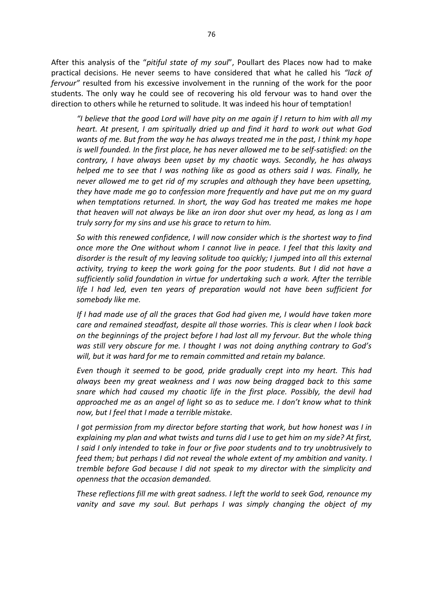After this analysis of the "*pitiful state of my soul*", Poullart des Places now had to make practical decisions. He never seems to have considered that what he called his *"lack of fervour"* resulted from his excessive involvement in the running of the work for the poor students. The only way he could see of recovering his old fervour was to hand over the direction to others while he returned to solitude. It was indeed his hour of temptation!

*"I believe that the good Lord will have pity on me again if I return to him with all my heart. At present, I am spiritually dried up and find it hard to work out what God wants of me. But from the way he has always treated me in the past, I think my hope is well founded. In the first place, he has never allowed me to be self-satisfied: on the contrary, I have always been upset by my chaotic ways. Secondly, he has always helped me to see that I was nothing like as good as others said I was. Finally, he never allowed me to get rid of my scruples and although they have been upsetting, they have made me go to confession more frequently and have put me on my guard when temptations returned. In short, the way God has treated me makes me hope that heaven will not always be like an iron door shut over my head, as long as I am truly sorry for my sins and use his grace to return to him.* 

*So with this renewed confidence, I will now consider which is the shortest way to find once more the One without whom I cannot live in peace. I feel that this laxity and disorder is the result of my leaving solitude too quickly; I jumped into all this external activity, trying to keep the work going for the poor students. But I did not have a sufficiently solid foundation in virtue for undertaking such a work. After the terrible life I had led, even ten years of preparation would not have been sufficient for somebody like me.* 

*If I had made use of all the graces that God had given me, I would have taken more care and remained steadfast, despite all those worries. This is clear when I look back on the beginnings of the project before I had lost all my fervour. But the whole thing was still very obscure for me. I thought I was not doing anything contrary to God's will, but it was hard for me to remain committed and retain my balance.* 

*Even though it seemed to be good, pride gradually crept into my heart. This had always been my great weakness and I was now being dragged back to this same snare which had caused my chaotic life in the first place. Possibly, the devil had approached me as an angel of light so as to seduce me. I don't know what to think now, but I feel that I made a terrible mistake.* 

*I got permission from my director before starting that work, but how honest was I in explaining my plan and what twists and turns did I use to get him on my side? At first, I said I only intended to take in four or five poor students and to try unobtrusively to feed them; but perhaps I did not reveal the whole extent of my ambition and vanity. I tremble before God because I did not speak to my director with the simplicity and openness that the occasion demanded.* 

*These reflections fill me with great sadness. I left the world to seek God, renounce my vanity and save my soul. But perhaps I was simply changing the object of my*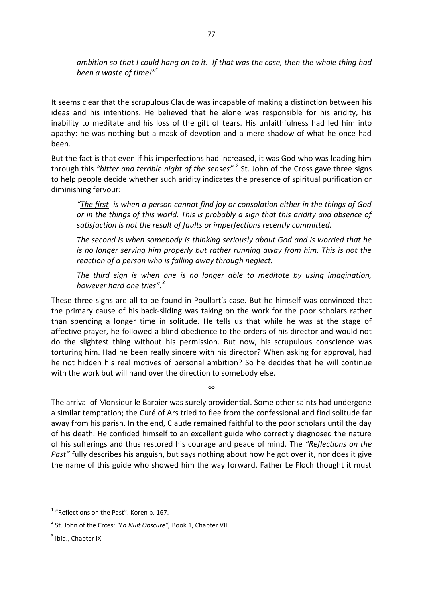*ambition so that I could hang on to it. If that was the case, then the whole thing had been a waste of time!"<sup>1</sup>* 

It seems clear that the scrupulous Claude was incapable of making a distinction between his ideas and his intentions. He believed that he alone was responsible for his aridity, his inability to meditate and his loss of the gift of tears. His unfaithfulness had led him into apathy: he was nothing but a mask of devotion and a mere shadow of what he once had been.

But the fact is that even if his imperfections had increased, it was God who was leading him through this *"bitter and terrible night of the senses".<sup>2</sup>* St. John of the Cross gave three signs to help people decide whether such aridity indicates the presence of spiritual purification or diminishing fervour:

*"The first is when a person cannot find joy or consolation either in the things of God or in the things of this world. This is probably a sign that this aridity and absence of satisfaction is not the result of faults or imperfections recently committed.* 

*The second is when somebody is thinking seriously about God and is worried that he is no longer serving him properly but rather running away from him. This is not the reaction of a person who is falling away through neglect.* 

*The third sign is when one is no longer able to meditate by using imagination, however hard one tries". 3* 

These three signs are all to be found in Poullart's case. But he himself was convinced that the primary cause of his back-sliding was taking on the work for the poor scholars rather than spending a longer time in solitude. He tells us that while he was at the stage of affective prayer, he followed a blind obedience to the orders of his director and would not do the slightest thing without his permission. But now, his scrupulous conscience was torturing him. Had he been really sincere with his director? When asking for approval, had he not hidden his real motives of personal ambition? So he decides that he will continue with the work but will hand over the direction to somebody else.

The arrival of Monsieur le Barbier was surely providential. Some other saints had undergone a similar temptation; the Curé of Ars tried to flee from the confessional and find solitude far away from his parish. In the end, Claude remained faithful to the poor scholars until the day of his death. He confided himself to an excellent guide who correctly diagnosed the nature of his sufferings and thus restored his courage and peace of mind. The *"Reflections on the Past"* fully describes his anguish, but says nothing about how he got over it, nor does it give the name of this guide who showed him the way forward. Father Le Floch thought it must

∞

 1 "Reflections on the Past". Koren p. 167.

<sup>2</sup> St. John of the Cross: *"La Nuit Obscure",* Book 1, Chapter VIII.

 $3$  Ibid., Chapter IX.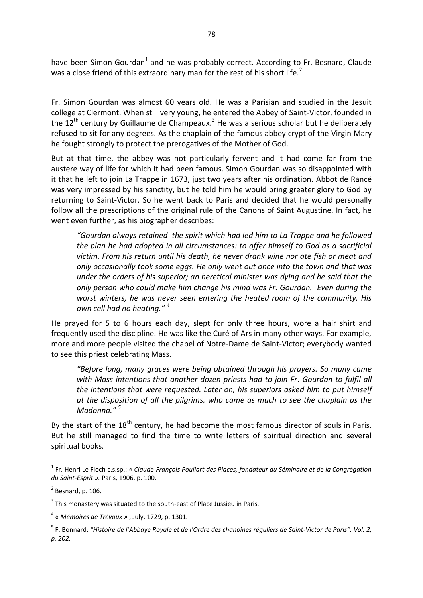have been Simon Gourdan<sup>1</sup> and he was probably correct. According to Fr. Besnard, Claude was a close friend of this extraordinary man for the rest of his short life.<sup>2</sup>

Fr. Simon Gourdan was almost 60 years old. He was a Parisian and studied in the Jesuit college at Clermont. When still very young, he entered the Abbey of Saint-Victor, founded in the 12<sup>th</sup> century by Guillaume de Champeaux.<sup>3</sup> He was a serious scholar but he deliberately refused to sit for any degrees. As the chaplain of the famous abbey crypt of the Virgin Mary he fought strongly to protect the prerogatives of the Mother of God.

But at that time, the abbey was not particularly fervent and it had come far from the austere way of life for which it had been famous. Simon Gourdan was so disappointed with it that he left to join La Trappe in 1673, just two years after his ordination. Abbot de Rancé was very impressed by his sanctity, but he told him he would bring greater glory to God by returning to Saint-Victor. So he went back to Paris and decided that he would personally follow all the prescriptions of the original rule of the Canons of Saint Augustine. In fact, he went even further, as his biographer describes:

*"Gourdan always retained the spirit which had led him to La Trappe and he followed the plan he had adopted in all circumstances: to offer himself to God as a sacrificial victim. From his return until his death, he never drank wine nor ate fish or meat and only occasionally took some eggs. He only went out once into the town and that was under the orders of his superior; an heretical minister was dying and he said that the only person who could make him change his mind was Fr. Gourdan. Even during the worst winters, he was never seen entering the heated room of the community. His own cell had no heating." <sup>4</sup>* 

He prayed for 5 to 6 hours each day, slept for only three hours, wore a hair shirt and frequently used the discipline. He was like the Curé of Ars in many other ways. For example, more and more people visited the chapel of Notre-Dame de Saint-Victor; everybody wanted to see this priest celebrating Mass.

*"Before long, many graces were being obtained through his prayers. So many came with Mass intentions that another dozen priests had to join Fr. Gourdan to fulfil all the intentions that were requested. Later on, his superiors asked him to put himself at the disposition of all the pilgrims, who came as much to see the chaplain as the Madonna." <sup>5</sup>* 

By the start of the  $18<sup>th</sup>$  century, he had become the most famous director of souls in Paris. But he still managed to find the time to write letters of spiritual direction and several spiritual books.

 $\overline{a}$ 

<sup>1</sup> Fr. Henri Le Floch c.s.sp.: *« Claude-François Poullart des Places, fondateur du Séminaire et de la Congrégation du Saint-Esprit ».* Paris, 1906, p. 100.

 $<sup>2</sup>$  Besnard, p. 106.</sup>

 $3$  This monastery was situated to the south-east of Place Jussieu in Paris.

<sup>4</sup> « *Mémoires de Trévoux »* , July, 1729, p. 1301*.*

<sup>5</sup> F. Bonnard: *"Histoire de l'Abbaye Royale et de l'Ordre des chanoines réguliers de Saint-Victor de Paris". Vol. 2, p. 202.*